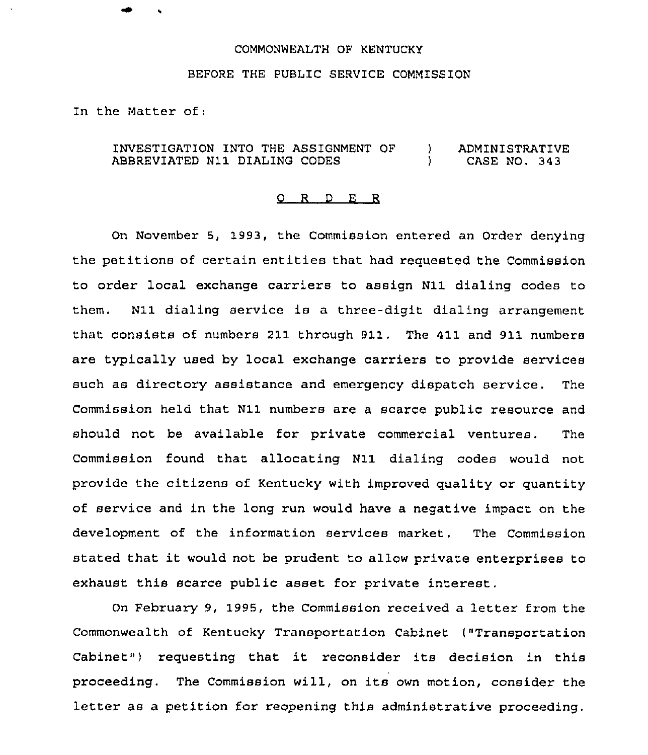## COMMONWEALTH OF KENTUCKY

## BEFORE THE PUBLIC SERVICE COMMISSION

In the Matter of:

## INVESTIGATION INTO THE ASSIGNMENT OF ABBREVIATED N11 DIALING CODES ) ADMINISTRATIVE<br>
) CASE NO. 343 ) CASE NO. 343

## 0 R <sup>D</sup> E R

On November 5, 1993, the Commission entered an Order denying the petitions of certain entities that had requested the Commission to order local exchange carriers to assign N11 dialing codes to them. N11 dialing service is a three-digit dialing arrangement that consists of numbers 211 through 911. The 411 and 911 numbers are typically used by local exchange carriers to provide services such as directory assistance and emergency dispatch service, The Commission held that N11 numbers are a scarce public resource and should not be available for private commercial ventures. The Commission found that allocating N11 dialing codes would not provide the citizens of Kentucky with improved quality or quantity of service and in the long run would have a negative impact on the development of the information services market. The Commission stated that it would not be prudent to allow private enterprises to exhaust this scarce public asset for private interest.

On February 9, 1995, the Commission received a letter from the Commonwealth of Kentucky Transportation Cabinet ("Transportation Cabinet") requesting that it reconsider its decision in this proceeding. The Commission will, on its own motion, consider the letter as a petition for reopening this administrative proceeding,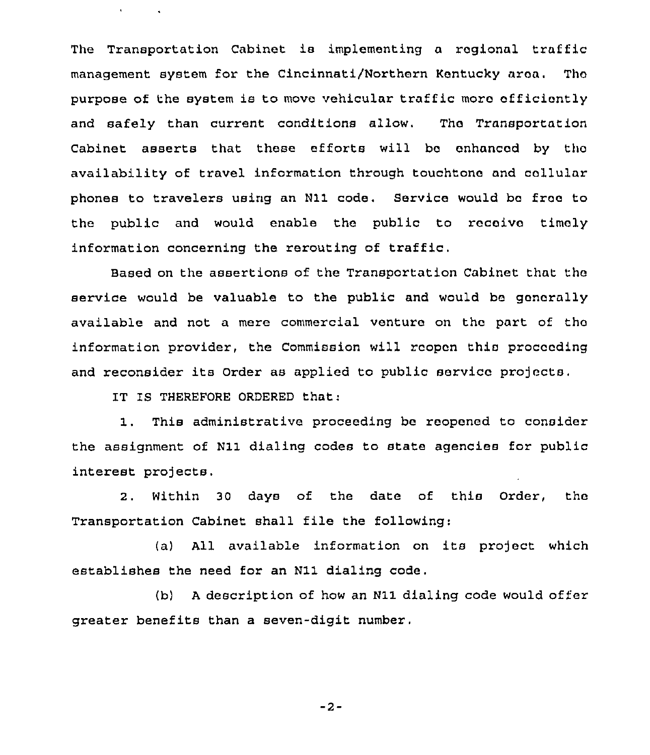The Transportation Cabinet is implementing a regional traffic management system for the Cincinnati/Northern Kentucky area. Thc purpose of the system is to move vehicular traffic more efficiently and safely than current conditions allow. Tho Transportation cabinet asserts that these efforts will bo enhanced by tho availability of travel information through touchtono and collular phones to travelers using an N11 code. Service would bc froo to the public and would enable the public to rocoivo timely information concerning the rerouting of traffic.

Eased on the assertions of the Transportation Cabinet that the service would be valuable to the public and would bo generally available and not a mere commercial venture on the part of tho information provider, the Commission will reopen this proceeding and reconsider its Order as applied to public service projects.

IT IS THEREFORE ORDERED that:

 $\sim$   $\sim$ 

1. This administrative pzoceeding be reopened to consider the assignment of N11 dialing codes to state agencies for public interest projects.

2. Within 30 days of the date of this Order, tho Transportation Cabinet shall file the following:

(a) All available information on its project which establishes the need for an N11 dialing code.

(b) <sup>A</sup> description of how an N11 dialing code would offer greater benefits than a seven-digit number.

 $-2-$